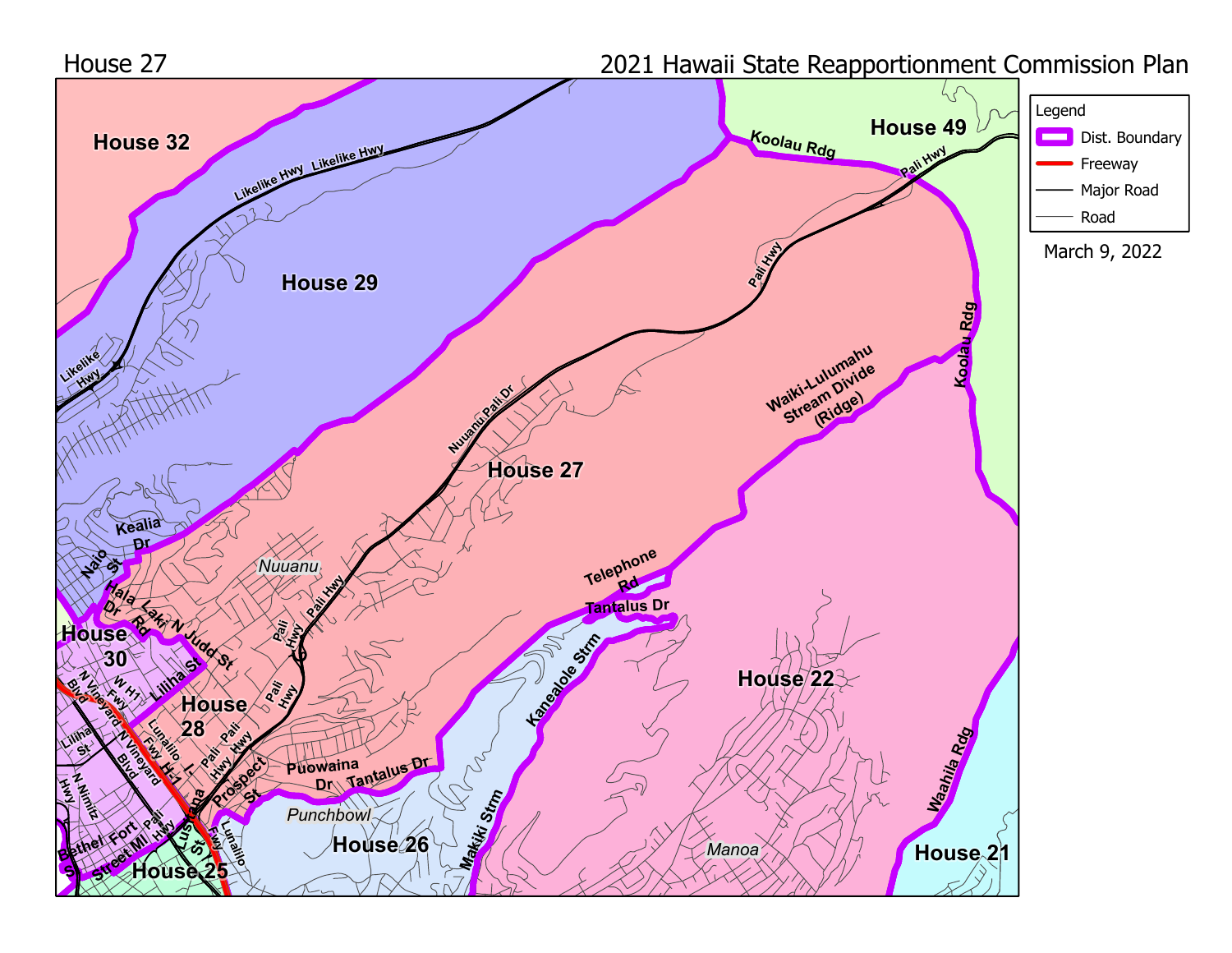